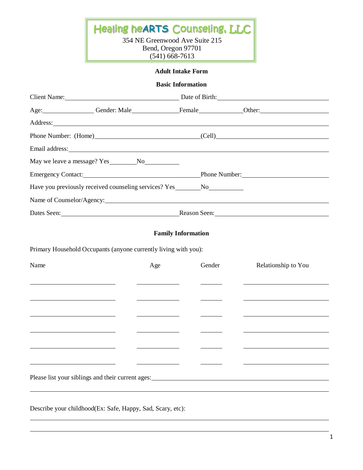Healing he**ARTS** Counseling, LLC

354 NE Greenwood Ave Suite 215 Bend, Oregon 97701 (541) 668-7613

# **Adult Intake Form**

### **Basic Information**

|                                                                             |                                                                                                                                                                                                                                | Client Name: Date of Birth: Date of Birth:   |        |                                                                                                                                                                                                                                |  |
|-----------------------------------------------------------------------------|--------------------------------------------------------------------------------------------------------------------------------------------------------------------------------------------------------------------------------|----------------------------------------------|--------|--------------------------------------------------------------------------------------------------------------------------------------------------------------------------------------------------------------------------------|--|
|                                                                             |                                                                                                                                                                                                                                |                                              |        | Age: Gender: Male Gender: Male Communication Communication Communication Communication Communication Communication Communication Communication Communication Communication Communication Communication Communication Communica |  |
|                                                                             | Address: National Address: National Address: National Address: National Address: National Address: National Address: National Address: National Address: National Address: National Address: National Address: National Addres |                                              |        |                                                                                                                                                                                                                                |  |
|                                                                             |                                                                                                                                                                                                                                |                                              |        | Phone Number: (Home) (Cell)                                                                                                                                                                                                    |  |
|                                                                             | Email address: No. 2016. The Contract of the Contract of the Contract of the Contract of the Contract of the Contract of the Contract of the Contract of the Contract of the Contract of the Contract of the Contract of the C |                                              |        |                                                                                                                                                                                                                                |  |
|                                                                             |                                                                                                                                                                                                                                |                                              |        |                                                                                                                                                                                                                                |  |
| Emergency Contact: Phone Number: Phone Number:                              |                                                                                                                                                                                                                                |                                              |        |                                                                                                                                                                                                                                |  |
| Have you previously received counseling services? Yes ________ No__________ |                                                                                                                                                                                                                                |                                              |        |                                                                                                                                                                                                                                |  |
|                                                                             | Name of Counselor/Agency.                                                                                                                                                                                                      |                                              |        |                                                                                                                                                                                                                                |  |
|                                                                             |                                                                                                                                                                                                                                |                                              |        | Dates Seen: Reason Seen: Reason Seen:                                                                                                                                                                                          |  |
| Name                                                                        |                                                                                                                                                                                                                                | Age                                          | Gender | Relationship to You                                                                                                                                                                                                            |  |
| <u> 1980 - Johann Barbara, martxa amerikan personal (h. 1980).</u>          |                                                                                                                                                                                                                                |                                              |        |                                                                                                                                                                                                                                |  |
|                                                                             |                                                                                                                                                                                                                                |                                              |        |                                                                                                                                                                                                                                |  |
|                                                                             | <u> 1989 - Johann Barbara, martin amerikan basar dan basa dan basa dan basa dalam basa dalam basa dalam basa dala</u>                                                                                                          | the control of the control of the control of |        |                                                                                                                                                                                                                                |  |
|                                                                             |                                                                                                                                                                                                                                |                                              |        |                                                                                                                                                                                                                                |  |
|                                                                             |                                                                                                                                                                                                                                |                                              |        |                                                                                                                                                                                                                                |  |
|                                                                             |                                                                                                                                                                                                                                |                                              |        | Please list your siblings and their current ages: No and their current ages:                                                                                                                                                   |  |
|                                                                             |                                                                                                                                                                                                                                |                                              |        |                                                                                                                                                                                                                                |  |
|                                                                             |                                                                                                                                                                                                                                |                                              |        |                                                                                                                                                                                                                                |  |

Describe your childhood(Ex: Safe, Happy, Sad, Scary, etc):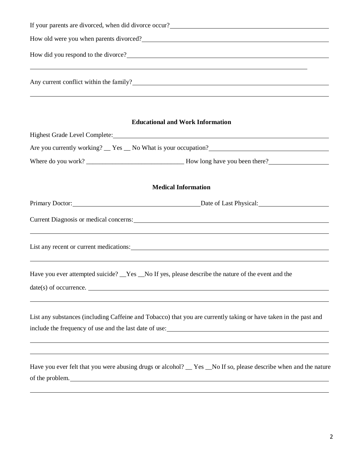|                                                                                                                               | If your parents are divorced, when did divorce occur?<br><u>Letter and the contract of the set of the set of the set of the set of the set of the set of the set of the set of the set of the set of the set of the set of the set</u> |
|-------------------------------------------------------------------------------------------------------------------------------|----------------------------------------------------------------------------------------------------------------------------------------------------------------------------------------------------------------------------------------|
|                                                                                                                               | How old were you when parents divorced?<br><u>Letting</u> and the set of the set of the set of the set of the set of the set of the set of the set of the set of the set of the set of the set of the set of the set of the set of th  |
|                                                                                                                               | How did you respond to the divorce?                                                                                                                                                                                                    |
|                                                                                                                               | Any current conflict within the family?<br><u>Letting</u> the contract conflict within the family?<br><u>Letting</u> the contract contract within the family?                                                                          |
|                                                                                                                               | <b>Educational and Work Information</b><br>Highest Grade Level Complete: Manual Account of the Complete Complete Complete:                                                                                                             |
|                                                                                                                               |                                                                                                                                                                                                                                        |
|                                                                                                                               |                                                                                                                                                                                                                                        |
|                                                                                                                               | <b>Medical Information</b>                                                                                                                                                                                                             |
|                                                                                                                               | Primary Doctor: Date of Last Physical: Date of Last Physical:                                                                                                                                                                          |
|                                                                                                                               | Current Diagnosis or medical concerns: North Communication of the Communication of the Communication of the Communication of the Communication of the Communication of the Communication of the Communication of the Communica         |
|                                                                                                                               | ,我们也不会有什么。""我们的人,我们也不会有什么?""我们的人,我们也不会有什么?""我们的人,我们也不会有什么?""我们的人,我们也不会有什么?""我们的人<br>List any recent or current medications:<br>,我们也不会有什么。""我们的人,我们也不会有什么?""我们的人,我们也不会有什么?""我们的人,我们也不会有什么?""我们的人,我们也不会有什么?""我们的人                        |
| Have you ever attempted suicide? _Yes _No If yes, please describe the nature of the event and the<br>$date(s)$ of occurrence. |                                                                                                                                                                                                                                        |
|                                                                                                                               | List any substances (including Caffeine and Tobacco) that you are currently taking or have taken in the past and<br>include the frequency of use and the last date of use:                                                             |
| of the problem.                                                                                                               | ,我们也不会有什么。""我们的人,我们也不会有什么?""我们的人,我们也不会有什么?""我们的人,我们也不会有什么?""我们的人,我们也不会有什么?""我们的人<br>Have you ever felt that you were abusing drugs or alcohol? __ Yes __No If so, please describe when and the nature                                  |
|                                                                                                                               |                                                                                                                                                                                                                                        |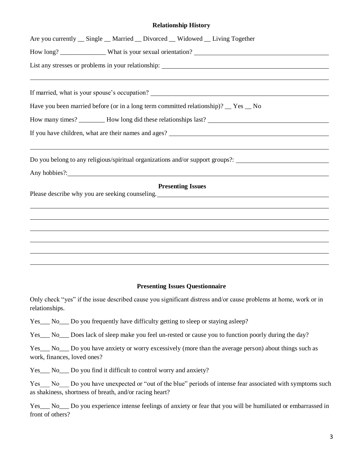## **Relationship History**

| Are you currently __ Single __ Married __ Divorced __ Widowed __ Living Together                                                                                                                   |
|----------------------------------------------------------------------------------------------------------------------------------------------------------------------------------------------------|
|                                                                                                                                                                                                    |
|                                                                                                                                                                                                    |
| If married, what is your spouse's occupation? ___________________________________                                                                                                                  |
| Have you been married before (or in a long term committed relationship)? __ Yes __ No                                                                                                              |
|                                                                                                                                                                                                    |
|                                                                                                                                                                                                    |
| ,我们也不会有什么。""我们的人,我们也不会有什么?""我们的人,我们也不会有什么?""我们的人,我们也不会有什么?""我们的人,我们也不会有什么?""我们的人<br>Do you belong to any religious/spiritual organizations and/or support groups?: _______________________________ |
| Any hobbies?:                                                                                                                                                                                      |
| <b>Presenting Issues</b><br>Please describe why you are seeking counseling. The material control of the set of the seeking counseling.                                                             |
|                                                                                                                                                                                                    |
|                                                                                                                                                                                                    |
|                                                                                                                                                                                                    |
|                                                                                                                                                                                                    |
|                                                                                                                                                                                                    |

## **Presenting Issues Questionnaire**

Only check "yes" if the issue described cause you significant distress and/or cause problems at home, work or in relationships.

Yes\_\_\_ No\_\_\_ Do you frequently have difficulty getting to sleep or staying asleep?

Yes\_\_\_ No\_\_\_ Does lack of sleep make you feel un-rested or cause you to function poorly during the day?

Yes\_\_\_ No\_\_\_ Do you have anxiety or worry excessively (more than the average person) about things such as work, finances, loved ones?

Yes\_\_\_ No\_\_\_ Do you find it difficult to control worry and anxiety?

Yes No Do you have unexpected or "out of the blue" periods of intense fear associated with symptoms such as shakiness, shortness of breath, and/or racing heart?

Yes\_\_\_ No\_\_\_ Do you experience intense feelings of anxiety or fear that you will be humiliated or embarrassed in front of others?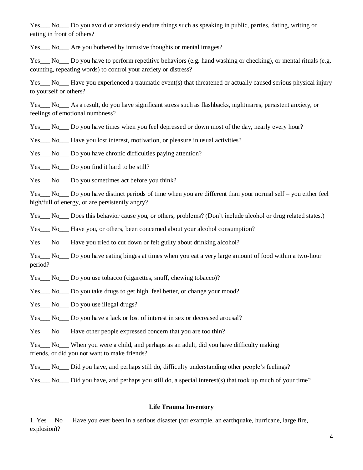Yes\_\_\_ No\_\_\_ Do you avoid or anxiously endure things such as speaking in public, parties, dating, writing or eating in front of others?

Yes\_\_\_ No\_\_\_ Are you bothered by intrusive thoughts or mental images?

Yes No Do you have to perform repetitive behaviors (e.g. hand washing or checking), or mental rituals (e.g. counting, repeating words) to control your anxiety or distress?

Yes\_\_\_ No\_\_\_ Have you experienced a traumatic event(s) that threatened or actually caused serious physical injury to yourself or others?

Yes\_\_\_ No\_\_\_ As a result, do you have significant stress such as flashbacks, nightmares, persistent anxiety, or feelings of emotional numbness?

Yes\_\_\_ No\_\_\_ Do you have times when you feel depressed or down most of the day, nearly every hour?

Yes\_\_\_ No\_\_\_ Have you lost interest, motivation, or pleasure in usual activities?

Yes\_\_\_ No\_\_\_ Do you have chronic difficulties paying attention?

Yes No Do you find it hard to be still?

Yes No Do you sometimes act before you think?

Yes No Do you have distinct periods of time when you are different than your normal self – you either feel high/full of energy, or are persistently angry?

Yes\_\_\_ No\_\_\_ Does this behavior cause you, or others, problems? (Don't include alcohol or drug related states.)

Yes No Have you, or others, been concerned about your alcohol consumption?

Yes No Have you tried to cut down or felt guilty about drinking alcohol?

Yes No Do you have eating binges at times when you eat a very large amount of food within a two-hour period?

- Yes No Do you use tobacco (cigarettes, snuff, chewing tobacco)?
- Yes No Do you take drugs to get high, feel better, or change your mood?
- Yes No Do you use illegal drugs?

Yes\_\_\_ No\_\_\_ Do you have a lack or lost of interest in sex or decreased arousal?

Yes\_\_\_ No\_\_\_ Have other people expressed concern that you are too thin?

Yes\_\_\_ No\_\_\_ When you were a child, and perhaps as an adult, did you have difficulty making friends, or did you not want to make friends?

- Yes No Did you have, and perhaps still do, difficulty understanding other people's feelings?
- Yes No Did you have, and perhaps you still do, a special interest(s) that took up much of your time?

### **Life Trauma Inventory**

1. Yes\_\_ No\_\_ Have you ever been in a serious disaster (for example, an earthquake, hurricane, large fire, explosion)?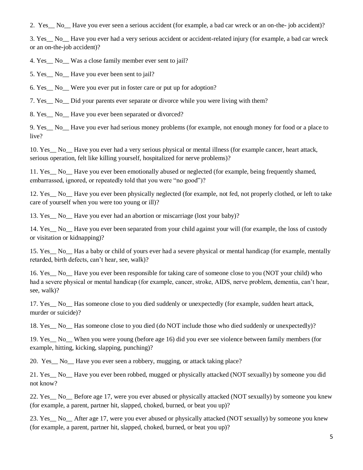2. Yes\_\_ No\_\_ Have you ever seen a serious accident (for example, a bad car wreck or an on-the- job accident)?

3. Yes\_\_ No\_\_ Have you ever had a very serious accident or accident-related injury (for example, a bad car wreck or an on-the-job accident)?

4. Yes No Was a close family member ever sent to jail?

5. Yes No Have you ever been sent to jail?

6. Yes\_\_ No\_\_ Were you ever put in foster care or put up for adoption?

7. Yes\_\_ No\_\_ Did your parents ever separate or divorce while you were living with them?

8. Yes\_\_ No\_\_ Have you ever been separated or divorced?

9. Yes\_\_ No\_\_ Have you ever had serious money problems (for example, not enough money for food or a place to live?

10. Yes\_\_ No\_\_ Have you ever had a very serious physical or mental illness (for example cancer, heart attack, serious operation, felt like killing yourself, hospitalized for nerve problems)?

11. Yes\_\_ No\_\_ Have you ever been emotionally abused or neglected (for example, being frequently shamed, embarrassed, ignored, or repeatedly told that you were "no good")?

12. Yes\_\_ No\_\_ Have you ever been physically neglected (for example, not fed, not properly clothed, or left to take care of yourself when you were too young or ill)?

13. Yes\_\_ No\_\_ Have you ever had an abortion or miscarriage (lost your baby)?

14. Yes No Have you ever been separated from your child against your will (for example, the loss of custody or visitation or kidnapping)?

15. Yes\_\_ No\_\_ Has a baby or child of yours ever had a severe physical or mental handicap (for example, mentally retarded, birth defects, can't hear, see, walk)?

16. Yes\_\_ No\_\_ Have you ever been responsible for taking care of someone close to you (NOT your child) who had a severe physical or mental handicap (for example, cancer, stroke, AIDS, nerve problem, dementia, can't hear, see, walk)?

17. Yes\_\_ No\_\_ Has someone close to you died suddenly or unexpectedly (for example, sudden heart attack, murder or suicide)?

18. Yes\_\_ No\_\_ Has someone close to you died (do NOT include those who died suddenly or unexpectedly)?

19. Yes\_\_ No\_\_ When you were young (before age 16) did you ever see violence between family members (for example, hitting, kicking, slapping, punching)?

20. Yes\_\_ No\_\_ Have you ever seen a robbery, mugging, or attack taking place?

21. Yes\_\_ No\_\_ Have you ever been robbed, mugged or physically attacked (NOT sexually) by someone you did not know?

22. Yes\_\_ No\_\_ Before age 17, were you ever abused or physically attacked (NOT sexually) by someone you knew (for example, a parent, partner hit, slapped, choked, burned, or beat you up)?

23. Yes No After age 17, were you ever abused or physically attacked (NOT sexually) by someone you knew (for example, a parent, partner hit, slapped, choked, burned, or beat you up)?